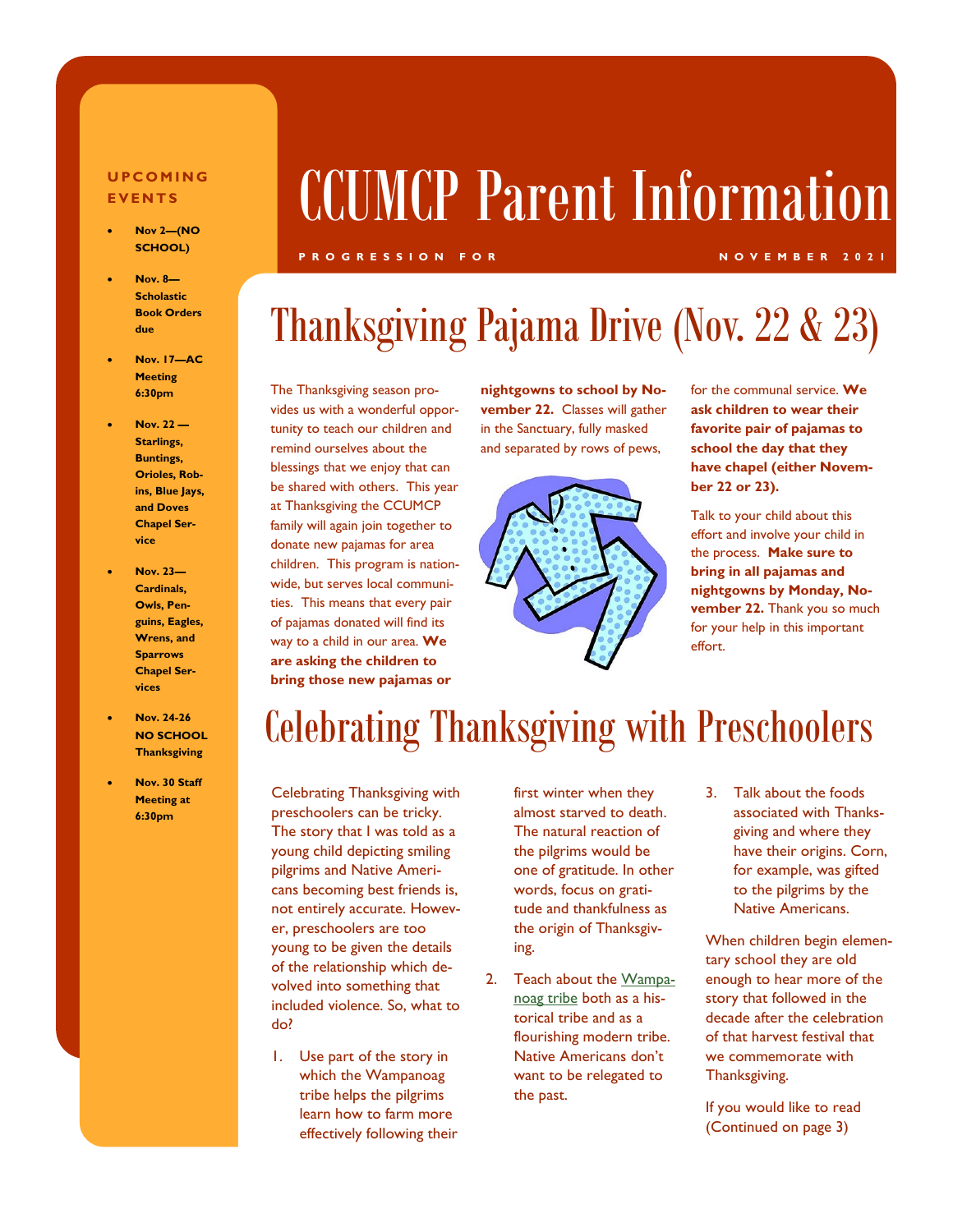#### **U P C O M I N G E V E N T S**

- **Nov 2—(NO SCHOOL)**
- **Nov. 8— Scholastic Book Orders due**
- **Nov. 17—AC Meeting 6:30pm**
- **Nov. 22 — Starlings, Buntings, Orioles, Robins, Blue Jays, and Doves Chapel Service**
- **Nov. 23— Cardinals, Owls, Penguins, Eagles, Wrens, and Sparrows Chapel Services**
- **Nov. 24-26 NO SCHOOL Thanksgiving**
- **Nov. 30 Staff Meeting at 6:30pm**

# CCUMCP Parent Information

#### **P R O G R E S S I O N F O R N O V E M B E R 2 0 2 1**

### Thanksgiving Pajama Drive (Nov. 22 & 23)

The Thanksgiving season provides us with a wonderful opportunity to teach our children and remind ourselves about the blessings that we enjoy that can be shared with others. This year at Thanksgiving the CCUMCP family will again join together to donate new pajamas for area children. This program is nationwide, but serves local communities. This means that every pair of pajamas donated will find its way to a child in our area. **We are asking the children to bring those new pajamas or** 

**nightgowns to school by November 22.** Classes will gather in the Sanctuary, fully masked and separated by rows of pews,



for the communal service. **We ask children to wear their favorite pair of pajamas to school the day that they have chapel (either November 22 or 23).** 

Talk to your child about this effort and involve your child in the process. **Make sure to bring in all pajamas and nightgowns by Monday, November 22.** Thank you so much for your help in this important effort.

### Celebrating Thanksgiving with Preschoolers

Celebrating Thanksgiving with preschoolers can be tricky. The story that I was told as a young child depicting smiling pilgrims and Native Americans becoming best friends is, not entirely accurate. However, preschoolers are too young to be given the details of the relationship which devolved into something that included violence. So, what to do?

1. Use part of the story in which the Wampanoag tribe helps the pilgrims learn how to farm more effectively following their first winter when they almost starved to death. The natural reaction of the pilgrims would be one of gratitude. In other words, focus on gratitude and thankfulness as the origin of Thanksgiving.

- 2. Teach about the [Wampa](https://plimoth.org/for-students/homework-help/who-are-the-wampanoag)[noag tribe](https://plimoth.org/for-students/homework-help/who-are-the-wampanoag) both as a historical tribe and as a flourishing modern tribe. Native Americans don't want to be relegated to the past.
- 3. Talk about the foods associated with Thanksgiving and where they have their origins. Corn, for example, was gifted to the pilgrims by the Native Americans.

When children begin elementary school they are old enough to hear more of the story that followed in the decade after the celebration of that harvest festival that we commemorate with Thanksgiving.

If you would like to read (Continued on page 3)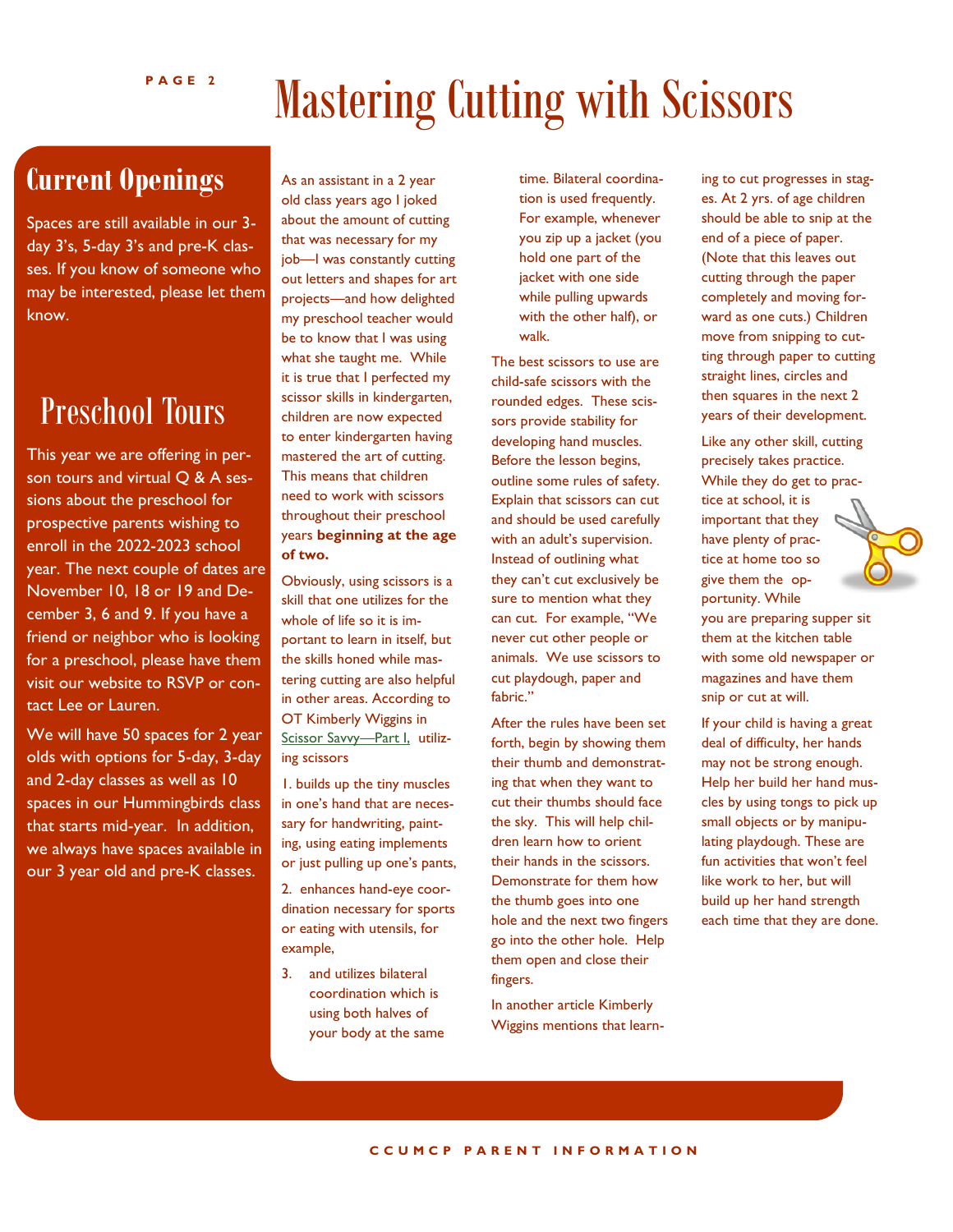## Mastering Cutting with Scissors

### **Current Openings**

Spaces are still available in our 3 day 3's, 5-day 3's and pre-K classes. If you know of someone who may be interested, please let them know.

### Preschool Tours

This year we are offering in person tours and virtual Q & A sessions about the preschool for prospective parents wishing to enroll in the 2022-2023 school year. The next couple of dates are November 10, 18 or 19 and December 3, 6 and 9. If you have a friend or neighbor who is looking for a preschool, please have them visit our website to RSVP or contact Lee or Lauren.

We will have 50 spaces for 2 year olds with options for 5-day, 3-day and 2-day classes as well as 10 spaces in our Hummingbirds class that starts mid-year. In addition, we always have spaces available in our 3 year old and pre-K classes.

As an assistant in a 2 year old class years ago I joked about the amount of cutting that was necessary for my job—I was constantly cutting out letters and shapes for art projects—and how delighted my preschool teacher would be to know that I was using what she taught me. While it is true that I perfected my scissor skills in kindergarten, children are now expected to enter kindergarten having mastered the art of cutting. This means that children need to work with scissors throughout their preschool years **beginning at the age of two.** 

Obviously, using scissors is a skill that one utilizes for the whole of life so it is important to learn in itself, but the skills honed while mastering cutting are also helpful in other areas. According to OT Kimberly Wiggins in [Scissor Savvy](https://ezinearticles.com/?Savvy-Scissor-Tips---Part-1&id=3763245)—Part I, utilizing scissors

1. builds up the tiny muscles in one's hand that are necessary for handwriting, painting, using eating implements or just pulling up one's pants,

2. enhances hand-eye coordination necessary for sports or eating with utensils, for example,

3. and utilizes bilateral coordination which is using both halves of your body at the same time. Bilateral coordination is used frequently. For example, whenever you zip up a jacket (you hold one part of the jacket with one side while pulling upwards with the other half), or walk.

The best scissors to use are child-safe scissors with the rounded edges. These scissors provide stability for developing hand muscles. Before the lesson begins, outline some rules of safety. Explain that scissors can cut and should be used carefully with an adult's supervision. Instead of outlining what they can't cut exclusively be sure to mention what they can cut. For example, "We never cut other people or animals. We use scissors to cut playdough, paper and fabric."

After the rules have been set forth, begin by showing them their thumb and demonstrating that when they want to cut their thumbs should face the sky. This will help children learn how to orient their hands in the scissors. Demonstrate for them how the thumb goes into one hole and the next two fingers go into the other hole. Help them open and close their fingers.

In another article Kimberly Wiggins mentions that learning to cut progresses in stages. At 2 yrs. of age children should be able to snip at the end of a piece of paper. (Note that this leaves out cutting through the paper completely and moving forward as one cuts.) Children move from snipping to cutting through paper to cutting straight lines, circles and then squares in the next 2 years of their development.

Like any other skill, cutting precisely takes practice. While they do get to practice at school, it is important that they have plenty of practice at home too so give them the opportunity. While



If your child is having a great deal of difficulty, her hands may not be strong enough. Help her build her hand muscles by using tongs to pick up small objects or by manipulating playdough. These are fun activities that won't feel like work to her, but will build up her hand strength each time that they are done.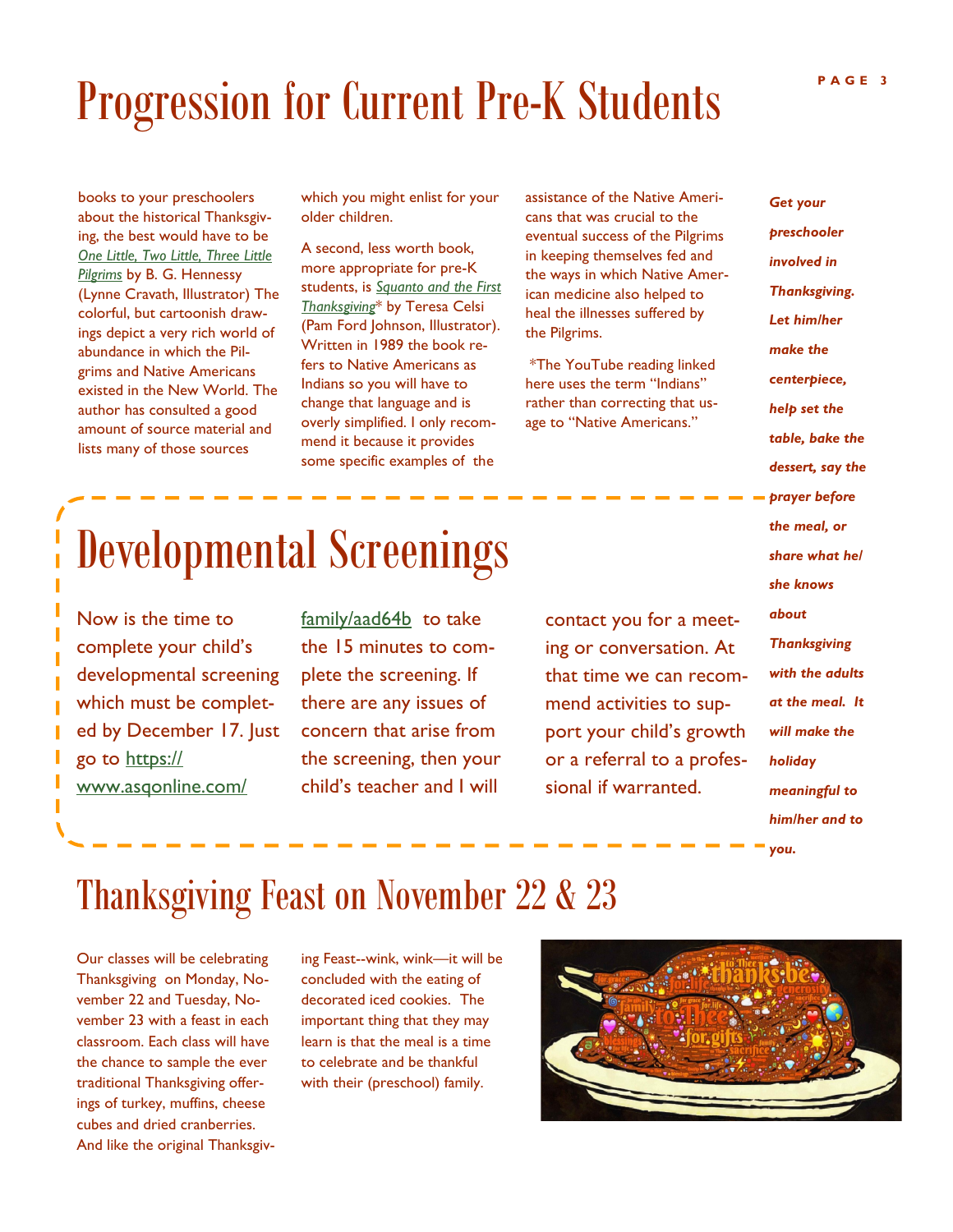## Progression for Current Pre-K Students

books to your preschoolers about the historical Thanksgiving, the best would have to be *[One Little, Two Little, Three Little](https://www.youtube.com/watch?v=LiMTsZeemCc)  [Pilgrims](https://www.youtube.com/watch?v=LiMTsZeemCc)* by B. G. Hennessy (Lynne Cravath, Illustrator) The colorful, but cartoonish drawings depict a very rich world of abundance in which the Pilgrims and Native Americans existed in the New World. The author has consulted a good amount of source material and lists many of those sources

which you might enlist for your older children.

A second, less worth book, more appropriate for pre-K students, is *[Squanto and the First](https://www.youtube.com/watch?v=sTVNc5MMlTs)  [Thanksgiving](https://www.youtube.com/watch?v=sTVNc5MMlTs)*\* by Teresa Celsi (Pam Ford Johnson, Illustrator). Written in 1989 the book refers to Native Americans as Indians so you will have to change that language and is overly simplified. I only recommend it because it provides some specific examples of the

assistance of the Native Americans that was crucial to the eventual success of the Pilgrims in keeping themselves fed and the ways in which Native American medicine also helped to heal the illnesses suffered by the Pilgrims.

\*The YouTube reading linked here uses the term "Indians" rather than correcting that usage to "Native Americans."

*involved in Thanksgiving. Let him/her make the centerpiece, help set the table, bake the dessert, say the prayer before the meal, or share what he/ she knows about Thanksgiving with the adults at the meal. It will make the holiday meaningful to him/her and to* 

*you.*

## Developmental Screenings

Now is the time to complete your child's developmental screening which must be completed by December 17. Just go to [https://](https://www.asqonline.com/family/aad64b) [www.asqonline.com/](https://www.asqonline.com/family/aad64b)

[family/aad64b](https://www.asqonline.com/family/aad64b) to take the 15 minutes to complete the screening. If there are any issues of concern that arise from the screening, then your child's teacher and I will

contact you for a meeting or conversation. At that time we can recommend activities to support your child's growth or a referral to a professional if warranted.

### Thanksgiving Feast on November 22 & 23

Our classes will be celebrating Thanksgiving on Monday, November 22 and Tuesday, November 23 with a feast in each classroom. Each class will have the chance to sample the ever traditional Thanksgiving offerings of turkey, muffins, cheese cubes and dried cranberries. And like the original Thanksgiving Feast--wink, wink—it will be concluded with the eating of decorated iced cookies. The important thing that they may learn is that the meal is a time to celebrate and be thankful with their (preschool) family.



*Get your preschooler*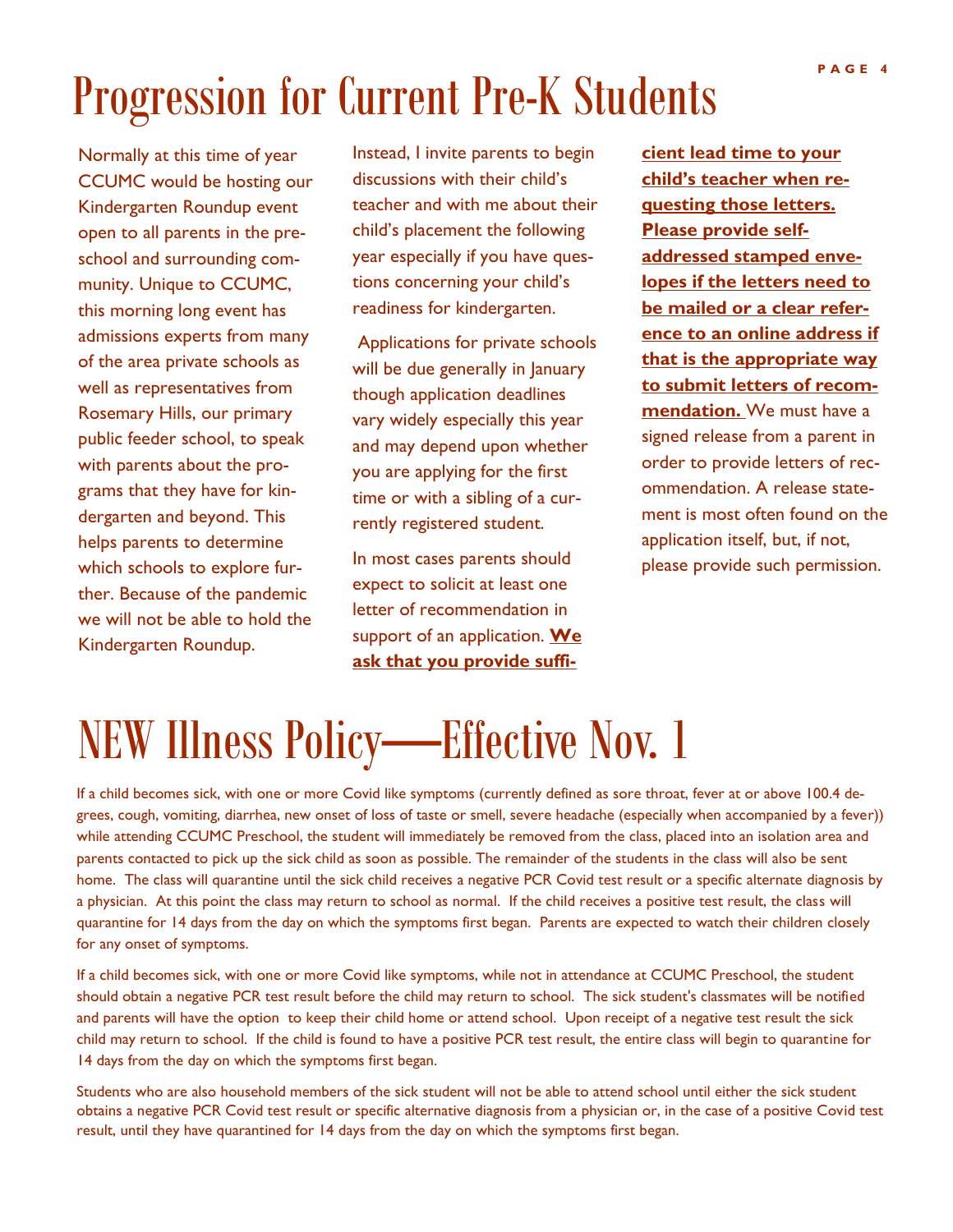## Progression for Current Pre-K Students

Normally at this time of year CCUMC would be hosting our Kindergarten Roundup event open to all parents in the preschool and surrounding community. Unique to CCUMC, this morning long event has admissions experts from many of the area private schools as well as representatives from Rosemary Hills, our primary public feeder school, to speak with parents about the programs that they have for kindergarten and beyond. This helps parents to determine which schools to explore further. Because of the pandemic we will not be able to hold the Kindergarten Roundup.

Instead, I invite parents to begin discussions with their child's teacher and with me about their child's placement the following year especially if you have questions concerning your child's readiness for kindergarten.

Applications for private schools will be due generally in January though application deadlines vary widely especially this year and may depend upon whether you are applying for the first time or with a sibling of a currently registered student.

In most cases parents should expect to solicit at least one letter of recommendation in support of an application. **We ask that you provide suffi-** **cient lead time to your child's teacher when requesting those letters. Please provide selfaddressed stamped envelopes if the letters need to be mailed or a clear reference to an online address if that is the appropriate way to submit letters of recommendation.** We must have a signed release from a parent in order to provide letters of recommendation. A release statement is most often found on the application itself, but, if not, please provide such permission.

### NEW Illness Policy—Effective Nov. 1

If a child becomes sick, with one or more Covid like symptoms (currently defined as sore throat, fever at or above 100.4 degrees, cough, vomiting, diarrhea, new onset of loss of taste or smell, severe headache (especially when accompanied by a fever)) while attending CCUMC Preschool, the student will immediately be removed from the class, placed into an isolation area and parents contacted to pick up the sick child as soon as possible. The remainder of the students in the class will also be sent home. The class will quarantine until the sick child receives a negative PCR Covid test result or a specific alternate diagnosis by a physician. At this point the class may return to school as normal. If the child receives a positive test result, the class will quarantine for 14 days from the day on which the symptoms first began. Parents are expected to watch their children closely for any onset of symptoms.

If a child becomes sick, with one or more Covid like symptoms, while not in attendance at CCUMC Preschool, the student should obtain a negative PCR test result before the child may return to school. The sick student's classmates will be notified and parents will have the option to keep their child home or attend school. Upon receipt of a negative test result the sick child may return to school. If the child is found to have a positive PCR test result, the entire class will begin to quarantine for 14 days from the day on which the symptoms first began.

Students who are also household members of the sick student will not be able to attend school until either the sick student obtains a negative PCR Covid test result or specific alternative diagnosis from a physician or, in the case of a positive Covid test result, until they have quarantined for 14 days from the day on which the symptoms first began.